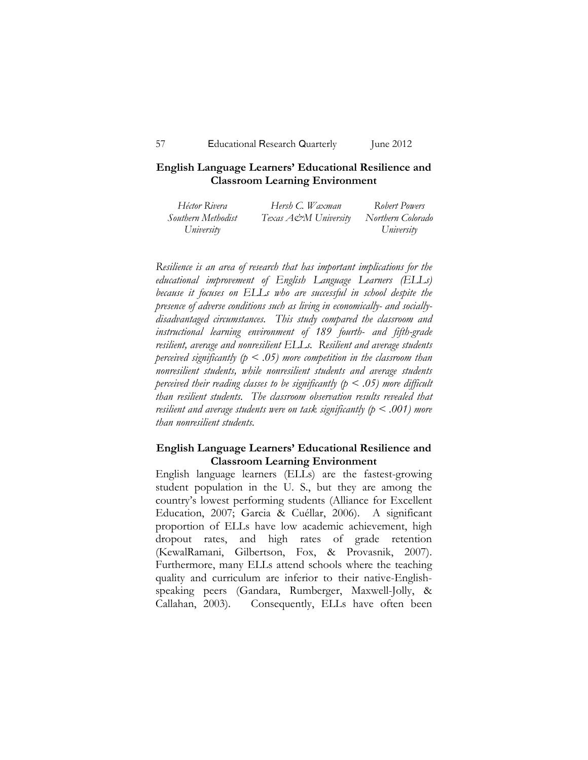## **English Language Learners' Educational Resilience and Classroom Learning Environment**

| Héctor Rivera      | Hersh C. Waxman      | Robert Powers     |
|--------------------|----------------------|-------------------|
| Southern Methodist | Texas A&M University | Northern Colorado |
| University         |                      | University        |

*Resilience is an area of research that has important implications for the educational improvement of English Language Learners (ELLs) because it focuses on ELLs who are successful in school despite the presence of adverse conditions such as living in economically- and sociallydisadvantaged circumstances. This study compared the classroom and instructional learning environment of 189 fourth- and fifth-grade resilient, average and nonresilient ELLs. Resilient and average students perceived significantly (p < .05) more competition in the classroom than nonresilient students, while nonresilient students and average students perceived their reading classes to be significantly (p < .05) more difficult than resilient students. The classroom observation results revealed that resilient and average students were on task significantly (p < .001) more than nonresilient students.*

## **English Language Learners' Educational Resilience and Classroom Learning Environment**

English language learners (ELLs) are the fastest-growing student population in the U. S., but they are among the country's lowest performing students (Alliance for Excellent Education, 2007; Garcia & Cuéllar, 2006). A significant proportion of ELLs have low academic achievement, high dropout rates, and high rates of grade retention (KewalRamani, Gilbertson, Fox, & Provasnik, 2007). Furthermore, many ELLs attend schools where the teaching quality and curriculum are inferior to their native-Englishspeaking peers (Gandara, Rumberger, Maxwell-Jolly, & Callahan, 2003). Consequently, ELLs have often been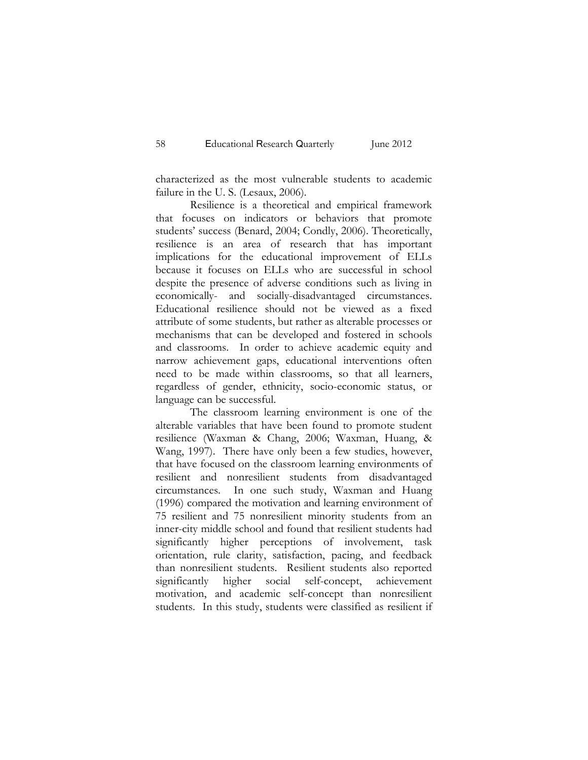characterized as the most vulnerable students to academic failure in the U. S. (Lesaux, 2006).

Resilience is a theoretical and empirical framework that focuses on indicators or behaviors that promote students' success (Benard, 2004; Condly, 2006). Theoretically, resilience is an area of research that has important implications for the educational improvement of ELLs because it focuses on ELLs who are successful in school despite the presence of adverse conditions such as living in economically- and socially-disadvantaged circumstances. Educational resilience should not be viewed as a fixed attribute of some students, but rather as alterable processes or mechanisms that can be developed and fostered in schools and classrooms. In order to achieve academic equity and narrow achievement gaps, educational interventions often need to be made within classrooms, so that all learners, regardless of gender, ethnicity, socio-economic status, or language can be successful.

The classroom learning environment is one of the alterable variables that have been found to promote student resilience (Waxman & Chang, 2006; Waxman, Huang, & Wang, 1997). There have only been a few studies, however, that have focused on the classroom learning environments of resilient and nonresilient students from disadvantaged circumstances. In one such study, Waxman and Huang (1996) compared the motivation and learning environment of 75 resilient and 75 nonresilient minority students from an inner-city middle school and found that resilient students had significantly higher perceptions of involvement, task orientation, rule clarity, satisfaction, pacing, and feedback than nonresilient students. Resilient students also reported significantly higher social self-concept, achievement motivation, and academic self-concept than nonresilient students. In this study, students were classified as resilient if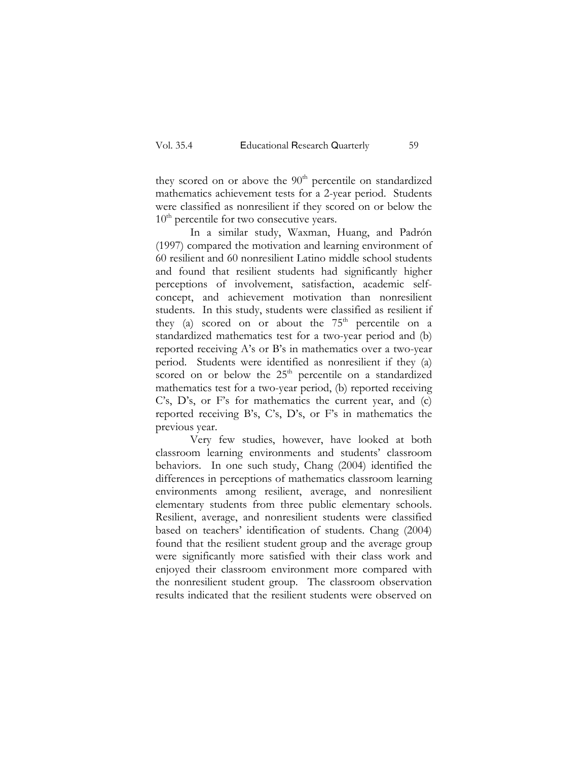they scored on or above the  $90<sup>th</sup>$  percentile on standardized mathematics achievement tests for a 2-year period. Students were classified as nonresilient if they scored on or below the  $10<sup>th</sup>$  percentile for two consecutive years.

In a similar study, Waxman, Huang, and Padrón (1997) compared the motivation and learning environment of 60 resilient and 60 nonresilient Latino middle school students and found that resilient students had significantly higher perceptions of involvement, satisfaction, academic selfconcept, and achievement motivation than nonresilient students. In this study, students were classified as resilient if they (a) scored on or about the  $75<sup>th</sup>$  percentile on a standardized mathematics test for a two-year period and (b) reported receiving A's or B's in mathematics over a two-year period. Students were identified as nonresilient if they (a) scored on or below the  $25<sup>th</sup>$  percentile on a standardized mathematics test for a two-year period, (b) reported receiving C's, D's, or F's for mathematics the current year, and (c) reported receiving B's, C's, D's, or F's in mathematics the previous year.

Very few studies, however, have looked at both classroom learning environments and students' classroom behaviors. In one such study, Chang (2004) identified the differences in perceptions of mathematics classroom learning environments among resilient, average, and nonresilient elementary students from three public elementary schools. Resilient, average, and nonresilient students were classified based on teachers' identification of students. Chang (2004) found that the resilient student group and the average group were significantly more satisfied with their class work and enjoyed their classroom environment more compared with the nonresilient student group. The classroom observation results indicated that the resilient students were observed on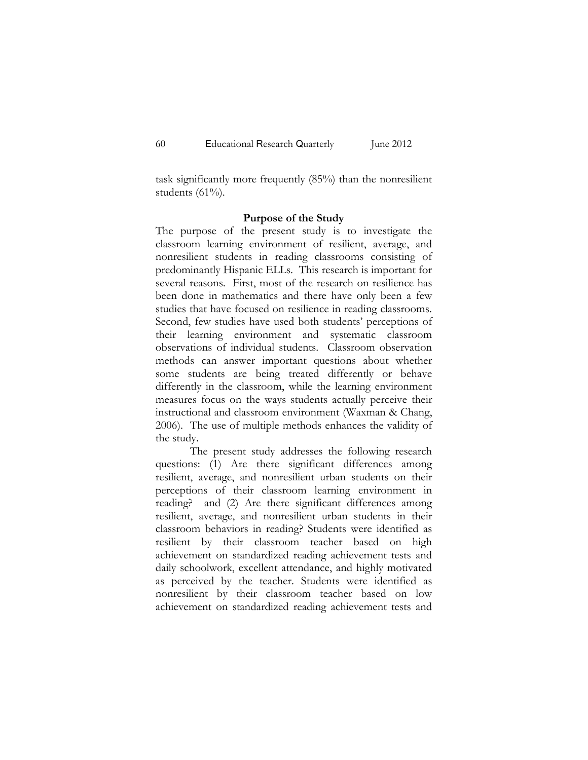task significantly more frequently (85%) than the nonresilient students  $(61\%)$ .

#### **Purpose of the Study**

The purpose of the present study is to investigate the classroom learning environment of resilient, average, and nonresilient students in reading classrooms consisting of predominantly Hispanic ELLs. This research is important for several reasons. First, most of the research on resilience has been done in mathematics and there have only been a few studies that have focused on resilience in reading classrooms. Second, few studies have used both students' perceptions of their learning environment and systematic classroom observations of individual students. Classroom observation methods can answer important questions about whether some students are being treated differently or behave differently in the classroom, while the learning environment measures focus on the ways students actually perceive their instructional and classroom environment (Waxman & Chang, 2006). The use of multiple methods enhances the validity of the study.

The present study addresses the following research questions: (1) Are there significant differences among resilient, average, and nonresilient urban students on their perceptions of their classroom learning environment in reading? and (2) Are there significant differences among resilient, average, and nonresilient urban students in their classroom behaviors in reading? Students were identified as resilient by their classroom teacher based on high achievement on standardized reading achievement tests and daily schoolwork, excellent attendance, and highly motivated as perceived by the teacher. Students were identified as nonresilient by their classroom teacher based on low achievement on standardized reading achievement tests and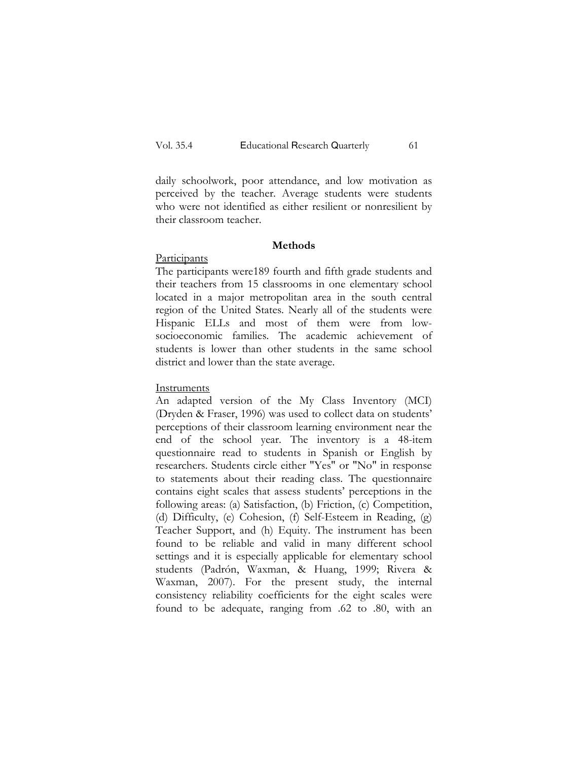daily schoolwork, poor attendance, and low motivation as perceived by the teacher. Average students were students who were not identified as either resilient or nonresilient by their classroom teacher.

### **Methods**

## **Participants**

The participants were189 fourth and fifth grade students and their teachers from 15 classrooms in one elementary school located in a major metropolitan area in the south central region of the United States. Nearly all of the students were Hispanic ELLs and most of them were from lowsocioeconomic families. The academic achievement of students is lower than other students in the same school district and lower than the state average.

### Instruments

An adapted version of the My Class Inventory (MCI) (Dryden & Fraser, 1996) was used to collect data on students' perceptions of their classroom learning environment near the end of the school year. The inventory is a 48-item questionnaire read to students in Spanish or English by researchers. Students circle either "Yes" or "No" in response to statements about their reading class. The questionnaire contains eight scales that assess students' perceptions in the following areas: (a) Satisfaction, (b) Friction, (c) Competition, (d) Difficulty, (e) Cohesion, (f) Self-Esteem in Reading, (g) Teacher Support, and (h) Equity. The instrument has been found to be reliable and valid in many different school settings and it is especially applicable for elementary school students (Padrón, Waxman, & Huang, 1999; Rivera & Waxman, 2007). For the present study, the internal consistency reliability coefficients for the eight scales were found to be adequate, ranging from .62 to .80, with an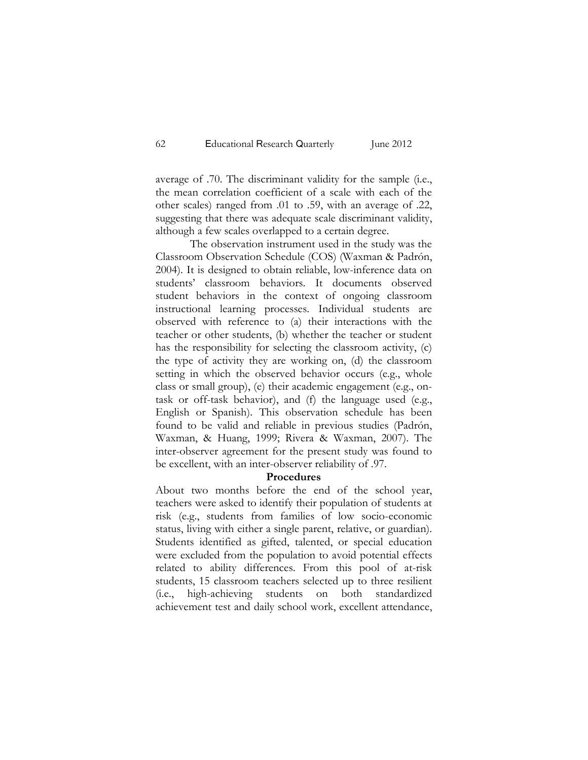average of .70. The discriminant validity for the sample (i.e., the mean correlation coefficient of a scale with each of the other scales) ranged from .01 to .59, with an average of .22, suggesting that there was adequate scale discriminant validity, although a few scales overlapped to a certain degree.

The observation instrument used in the study was the Classroom Observation Schedule (COS) (Waxman & Padrón, 2004). It is designed to obtain reliable, low-inference data on students' classroom behaviors. It documents observed student behaviors in the context of ongoing classroom instructional learning processes. Individual students are observed with reference to (a) their interactions with the teacher or other students, (b) whether the teacher or student has the responsibility for selecting the classroom activity, (c) the type of activity they are working on, (d) the classroom setting in which the observed behavior occurs (e.g., whole class or small group), (e) their academic engagement (e.g., ontask or off-task behavior), and (f) the language used (e.g., English or Spanish). This observation schedule has been found to be valid and reliable in previous studies (Padrón, Waxman, & Huang, 1999; Rivera & Waxman, 2007). The inter-observer agreement for the present study was found to be excellent, with an inter-observer reliability of .97.

## **Procedures**

About two months before the end of the school year, teachers were asked to identify their population of students at risk (e.g., students from families of low socio-economic status, living with either a single parent, relative, or guardian). Students identified as gifted, talented, or special education were excluded from the population to avoid potential effects related to ability differences. From this pool of at-risk students, 15 classroom teachers selected up to three resilient (i.e., high-achieving students on both standardized achievement test and daily school work, excellent attendance,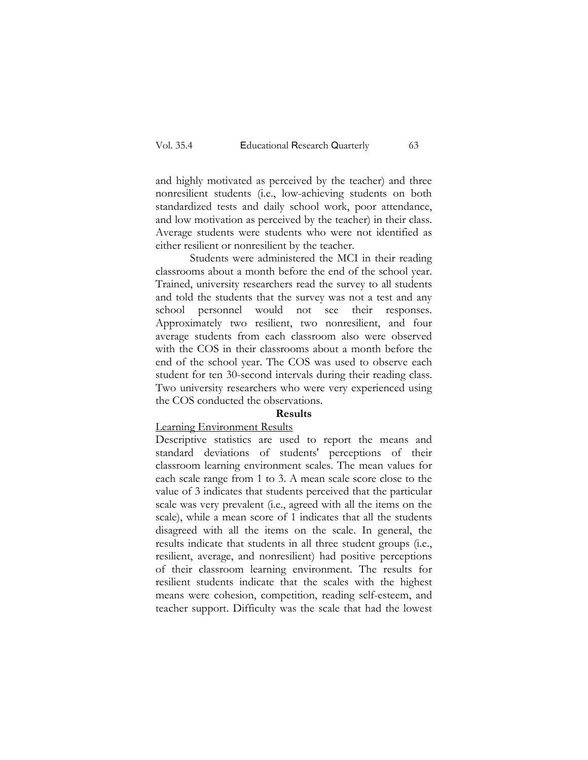and highly motivated as perceived by the teacher) and three nonresilient students (i.e., low-achieving students on both standardized tests and daily school work, poor attendance, and low motivation as perceived by the teacher) in their class. Average students were students who were not identified as either resilient or nonresilient by the teacher.

Students were administered the MCI in their reading classrooms about a month before the end of the school year. Trained, university researchers read the survey to all students and told the students that the survey was not a test and any school personnel would not see their responses. Approximately two resilient, two nonresilient, and four average students from each classroom also were observed with the COS in their classrooms about a month before the end of the school year. The COS was used to observe each student for ten 30-second intervals during their reading class. Two university researchers who were very experienced using the COS conducted the observations.

## **Results**

## Learning Environment Results

Descriptive statistics are used to report the means and standard deviations of students' perceptions of their classroom learning environment scales. The mean values for each scale range from 1 to 3. A mean scale score close to the value of 3 indicates that students perceived that the particular scale was very prevalent (i.e., agreed with all the items on the scale), while a mean score of 1 indicates that all the students disagreed with all the items on the scale. In general, the results indicate that students in all three student groups (i.e., resilient, average, and nonresilient) had positive perceptions of their classroom learning environment. The results for resilient students indicate that the scales with the highest means were cohesion, competition, reading self-esteem, and teacher support. Difficulty was the scale that had the lowest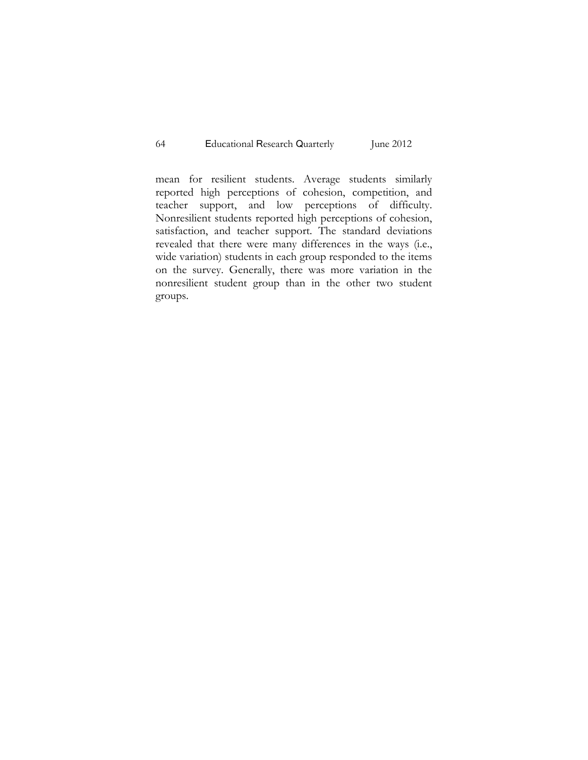mean for resilient students. Average students similarly reported high perceptions of cohesion, competition, and teacher support, and low perceptions of difficulty. Nonresilient students reported high perceptions of cohesion, satisfaction, and teacher support. The standard deviations revealed that there were many differences in the ways (i.e., wide variation) students in each group responded to the items on the survey. Generally, there was more variation in the nonresilient student group than in the other two student groups.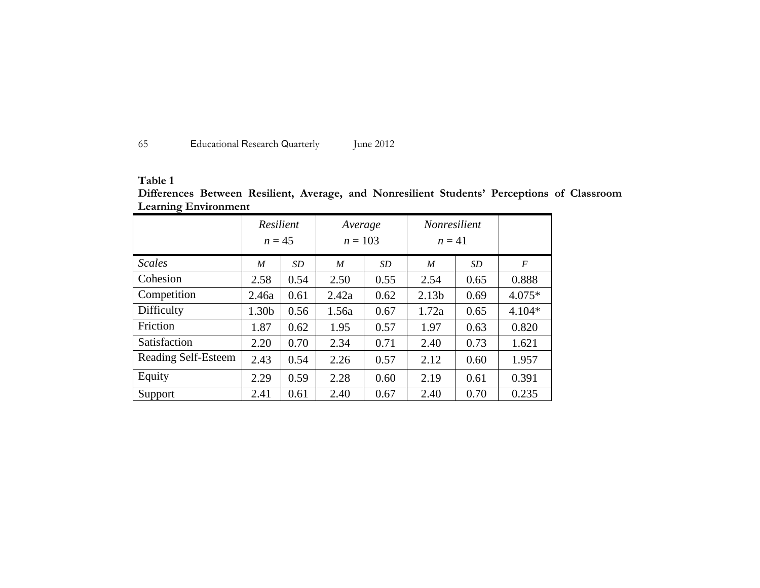| -65<br>Educational Research Quarterly | June 2012 |
|---------------------------------------|-----------|
|---------------------------------------|-----------|

# **Table 1**

| Differences Between Resilient, Average, and Nonresilient Students' Perceptions of Classroom |  |  |  |  |
|---------------------------------------------------------------------------------------------|--|--|--|--|
| <b>Learning Environment</b>                                                                 |  |  |  |  |

|                     | Resilient        |           | Average          |           | <i>Nonresilient</i> |           |                |
|---------------------|------------------|-----------|------------------|-----------|---------------------|-----------|----------------|
|                     | $n = 45$         |           | $n = 103$        |           | $n=41$              |           |                |
| <b>Scales</b>       | $\boldsymbol{M}$ | <i>SD</i> | $\boldsymbol{M}$ | <i>SD</i> | $\boldsymbol{M}$    | <i>SD</i> | $\overline{F}$ |
| Cohesion            | 2.58             | 0.54      | 2.50             | 0.55      | 2.54                | 0.65      | 0.888          |
| Competition         | 2.46a            | 0.61      | 2.42a            | 0.62      | 2.13 <sub>b</sub>   | 0.69      | $4.075*$       |
| Difficulty          | 1.30b            | 0.56      | 1.56a            | 0.67      | 1.72a               | 0.65      | $4.104*$       |
| Friction            | 1.87             | 0.62      | 1.95             | 0.57      | 1.97                | 0.63      | 0.820          |
| Satisfaction        | 2.20             | 0.70      | 2.34             | 0.71      | 2.40                | 0.73      | 1.621          |
| Reading Self-Esteem | 2.43             | 0.54      | 2.26             | 0.57      | 2.12                | 0.60      | 1.957          |
| Equity              | 2.29             | 0.59      | 2.28             | 0.60      | 2.19                | 0.61      | 0.391          |
| Support             | 2.41             | 0.61      | 2.40             | 0.67      | 2.40                | 0.70      | 0.235          |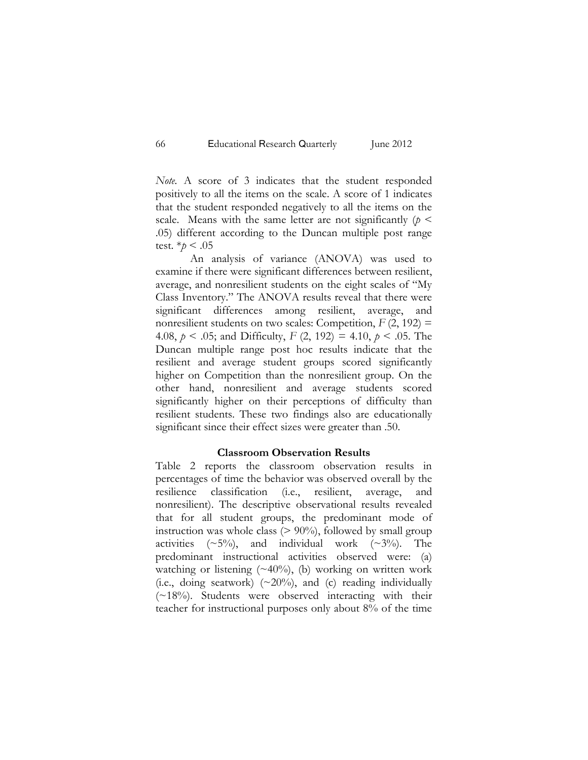*Note.* A score of 3 indicates that the student responded positively to all the items on the scale. A score of 1 indicates that the student responded negatively to all the items on the scale. Means with the same letter are not significantly  $(p <$ .05) different according to the Duncan multiple post range test.  $*_{p}$  < .05

An analysis of variance (ANOVA) was used to examine if there were significant differences between resilient, average, and nonresilient students on the eight scales of "My Class Inventory." The ANOVA results reveal that there were significant differences among resilient, average, and nonresilient students on two scales: Competition,  $F(2, 192) =$ 4.08, *p* < .05; and Difficulty, *F* (2, 192) = 4.10, *p* < .05. The Duncan multiple range post hoc results indicate that the resilient and average student groups scored significantly higher on Competition than the nonresilient group. On the other hand, nonresilient and average students scored significantly higher on their perceptions of difficulty than resilient students. These two findings also are educationally significant since their effect sizes were greater than .50.

## **Classroom Observation Results**

Table 2 reports the classroom observation results in percentages of time the behavior was observed overall by the resilience classification (i.e., resilient, average, and nonresilient). The descriptive observational results revealed that for all student groups, the predominant mode of instruction was whole class  $(> 90\%)$ , followed by small group activities  $(\sim 5\%)$ , and individual work  $(\sim 3\%)$ . The predominant instructional activities observed were: (a) watching or listening  $(\sim 40\%)$ , (b) working on written work (i.e., doing seatwork) (~20%), and (c) reading individually  $(\sim 18\%)$ . Students were observed interacting with their teacher for instructional purposes only about 8% of the time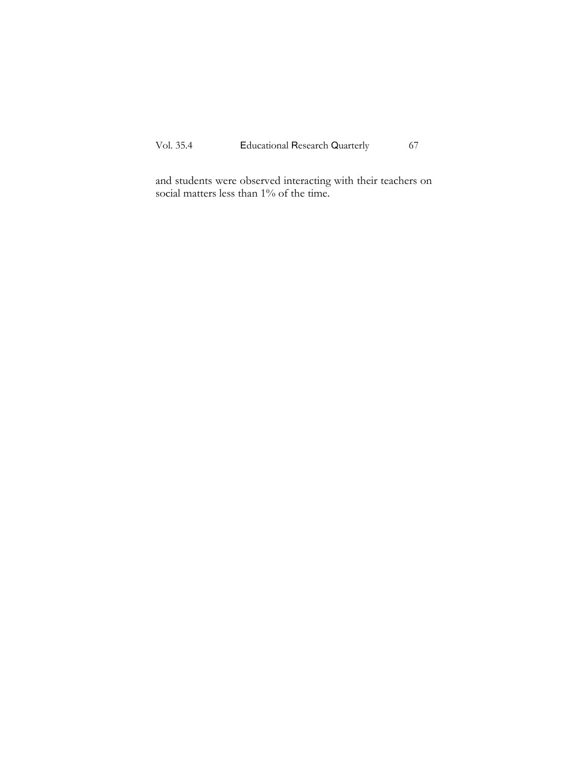and students were observed interacting with their teachers on social matters less than 1% of the time.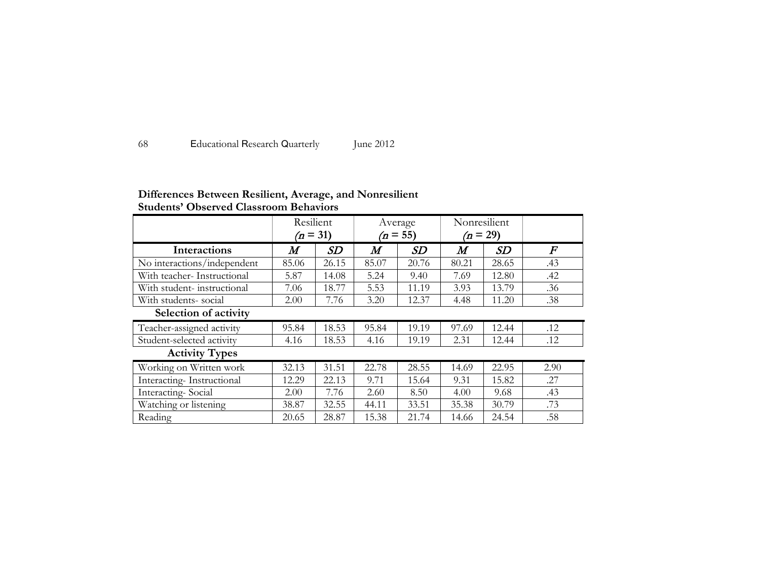| Educational Research Quarterly<br>68 | June 2012 |
|--------------------------------------|-----------|
|--------------------------------------|-----------|

# **Differences Between Resilient, Average, and Nonresilient Students' Observed Classroom Behaviors**

|                             | Resilient<br>$(n = 31)$ |       | Average<br>$(n = 55)$ |       | Nonresilient<br>$(n = 29)$ |       |          |
|-----------------------------|-------------------------|-------|-----------------------|-------|----------------------------|-------|----------|
| <b>Interactions</b>         | $\bm{M}$                | SD    | $\bm{M}$              | SD    | $\bm{M}$                   | SD    | $\bm{F}$ |
| No interactions/independent | 85.06                   | 26.15 | 85.07                 | 20.76 | 80.21                      | 28.65 | .43      |
| With teacher-Instructional  | 5.87                    | 14.08 | 5.24                  | 9.40  | 7.69                       | 12.80 | .42      |
| With student-instructional  | 7.06                    | 18.77 | 5.53                  | 11.19 | 3.93                       | 13.79 | .36      |
| With students-social        | 2.00                    | 7.76  | 3.20                  | 12.37 | 4.48                       | 11.20 | .38      |
| Selection of activity       |                         |       |                       |       |                            |       |          |
| Teacher-assigned activity   | 95.84                   | 18.53 | 95.84                 | 19.19 | 97.69                      | 12.44 | .12      |
| Student-selected activity   | 4.16                    | 18.53 | 4.16                  | 19.19 | 2.31                       | 12.44 | .12      |
| <b>Activity Types</b>       |                         |       |                       |       |                            |       |          |
| Working on Written work     | 32.13                   | 31.51 | 22.78                 | 28.55 | 14.69                      | 22.95 | 2.90     |
| Interacting-Instructional   | 12.29                   | 22.13 | 9.71                  | 15.64 | 9.31                       | 15.82 | .27      |
| Interacting-Social          | 2.00                    | 7.76  | 2.60                  | 8.50  | 4.00                       | 9.68  | .43      |
| Watching or listening       | 38.87                   | 32.55 | 44.11                 | 33.51 | 35.38                      | 30.79 | .73      |
| Reading                     | 20.65                   | 28.87 | 15.38                 | 21.74 | 14.66                      | 24.54 | .58      |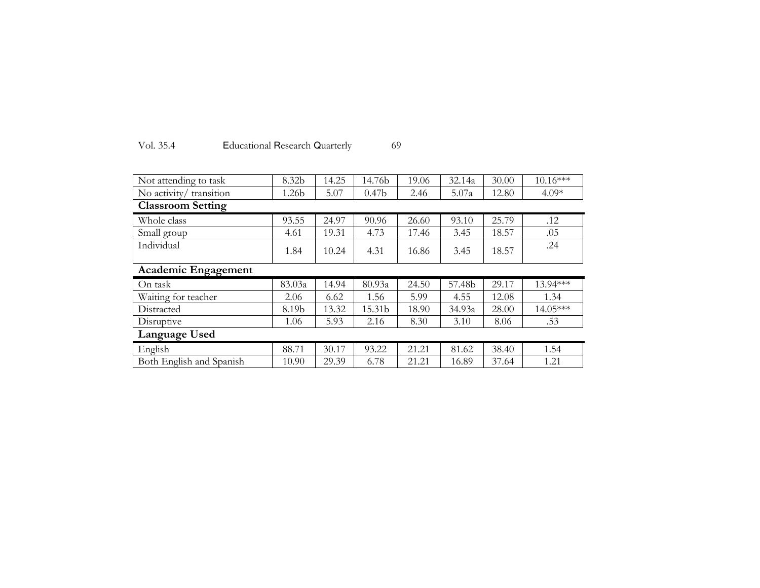| Vol. 35.4 | Educational Research Quarterly |  |  |
|-----------|--------------------------------|--|--|
|-----------|--------------------------------|--|--|

| Not attending to task    | 8.32b             | 14.25 | 14.76b            | 19.06 | 32.14a | 30.00 | $10.16***$ |
|--------------------------|-------------------|-------|-------------------|-------|--------|-------|------------|
| No activity/ transition  | 1.26 <sub>b</sub> | 5.07  | 0.47 <sub>b</sub> | 2.46  | 5.07a  | 12.80 | $4.09*$    |
| <b>Classroom Setting</b> |                   |       |                   |       |        |       |            |
| Whole class              | 93.55             | 24.97 | 90.96             | 26.60 | 93.10  | 25.79 | .12        |
| Small group              | 4.61              | 19.31 | 4.73              | 17.46 | 3.45   | 18.57 | .05        |
| Individual               | 1.84              | 10.24 | 4.31              | 16.86 | 3.45   | 18.57 | .24        |
| Academic Engagement      |                   |       |                   |       |        |       |            |
| On task                  | 83.03a            | 14.94 | 80.93a            | 24.50 | 57.48b | 29.17 | 13.94***   |
| Waiting for teacher      | 2.06              | 6.62  | 1.56              | 5.99  | 4.55   | 12.08 | 1.34       |
| Distracted               | 8.19b             | 13.32 | 15.31b            | 18.90 | 34.93a | 28.00 | $14.05***$ |
| Disruptive               | 1.06              | 5.93  | 2.16              | 8.30  | 3.10   | 8.06  | .53        |
| Language Used            |                   |       |                   |       |        |       |            |
| English                  | 88.71             | 30.17 | 93.22             | 21.21 | 81.62  | 38.40 | 1.54       |
| Both English and Spanish | 10.90             | 29.39 | 6.78              | 21.21 | 16.89  | 37.64 | 1.21       |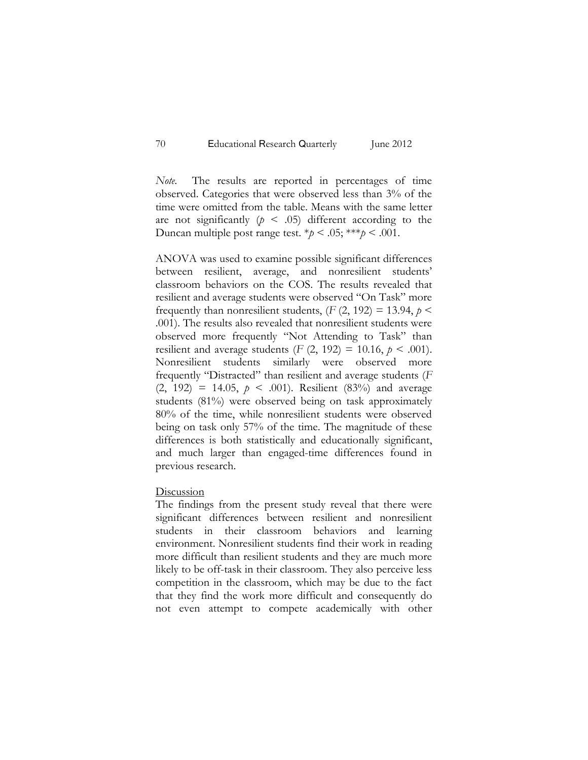*Note.* The results are reported in percentages of time observed. Categories that were observed less than 3% of the time were omitted from the table. Means with the same letter are not significantly  $(p \lt 0.05)$  different according to the Duncan multiple post range test.  $*\hat{p}$  < .05; \*\*\* $\hat{p}$  < .001.

ANOVA was used to examine possible significant differences between resilient, average, and nonresilient students' classroom behaviors on the COS. The results revealed that resilient and average students were observed "On Task" more frequently than nonresilient students,  $(F(2, 192) = 13.94, p \leq$ .001). The results also revealed that nonresilient students were observed more frequently "Not Attending to Task" than resilient and average students  $(F (2, 192) = 10.16, p \le .001)$ . Nonresilient students similarly were observed more frequently "Distracted" than resilient and average students (*F*  $(2, 192) = 14.05, p \le .001$ . Resilient  $(83%)$  and average students (81%) were observed being on task approximately 80% of the time, while nonresilient students were observed being on task only 57% of the time. The magnitude of these differences is both statistically and educationally significant, and much larger than engaged-time differences found in previous research.

#### Discussion

The findings from the present study reveal that there were significant differences between resilient and nonresilient students in their classroom behaviors and learning environment. Nonresilient students find their work in reading more difficult than resilient students and they are much more likely to be off-task in their classroom. They also perceive less competition in the classroom, which may be due to the fact that they find the work more difficult and consequently do not even attempt to compete academically with other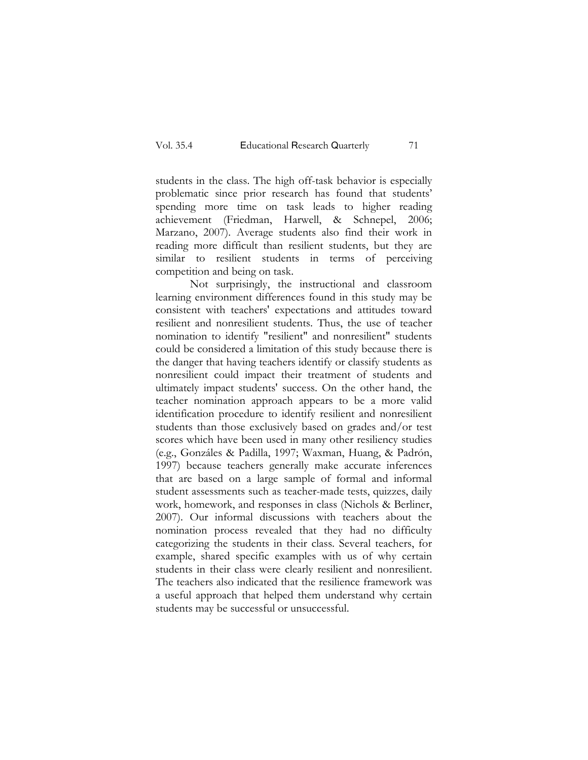students in the class. The high off-task behavior is especially problematic since prior research has found that students' spending more time on task leads to higher reading achievement (Friedman, Harwell, & Schnepel, 2006; Marzano, 2007). Average students also find their work in reading more difficult than resilient students, but they are similar to resilient students in terms of perceiving competition and being on task.

Not surprisingly, the instructional and classroom learning environment differences found in this study may be consistent with teachers' expectations and attitudes toward resilient and nonresilient students. Thus, the use of teacher nomination to identify "resilient" and nonresilient" students could be considered a limitation of this study because there is the danger that having teachers identify or classify students as nonresilient could impact their treatment of students and ultimately impact students' success. On the other hand, the teacher nomination approach appears to be a more valid identification procedure to identify resilient and nonresilient students than those exclusively based on grades and/or test scores which have been used in many other resiliency studies (e.g., Gonzáles & Padilla, 1997; Waxman, Huang, & Padrón, 1997) because teachers generally make accurate inferences that are based on a large sample of formal and informal student assessments such as teacher-made tests, quizzes, daily work, homework, and responses in class (Nichols & Berliner, 2007). Our informal discussions with teachers about the nomination process revealed that they had no difficulty categorizing the students in their class. Several teachers, for example, shared specific examples with us of why certain students in their class were clearly resilient and nonresilient. The teachers also indicated that the resilience framework was a useful approach that helped them understand why certain students may be successful or unsuccessful.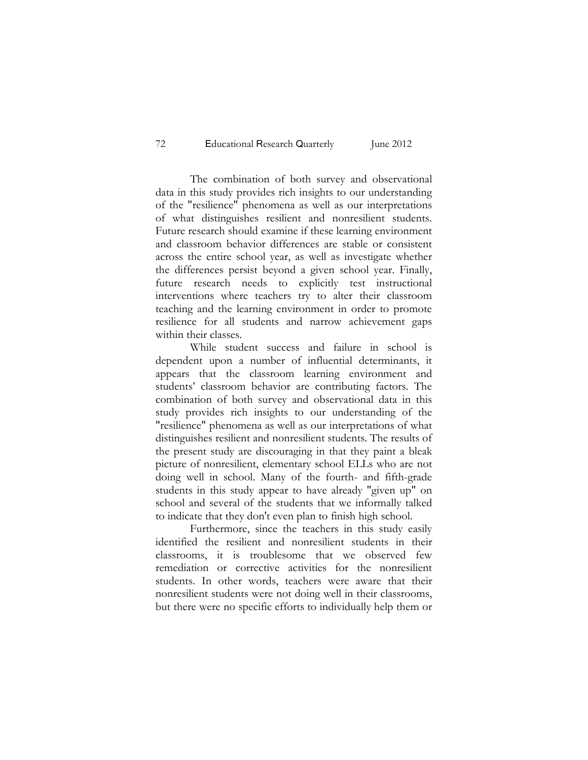The combination of both survey and observational data in this study provides rich insights to our understanding of the "resilience" phenomena as well as our interpretations of what distinguishes resilient and nonresilient students. Future research should examine if these learning environment and classroom behavior differences are stable or consistent across the entire school year, as well as investigate whether the differences persist beyond a given school year. Finally, future research needs to explicitly test instructional interventions where teachers try to alter their classroom teaching and the learning environment in order to promote resilience for all students and narrow achievement gaps within their classes.

While student success and failure in school is dependent upon a number of influential determinants, it appears that the classroom learning environment and students' classroom behavior are contributing factors. The combination of both survey and observational data in this study provides rich insights to our understanding of the "resilience" phenomena as well as our interpretations of what distinguishes resilient and nonresilient students. The results of the present study are discouraging in that they paint a bleak picture of nonresilient, elementary school ELLs who are not doing well in school. Many of the fourth- and fifth-grade students in this study appear to have already "given up" on school and several of the students that we informally talked to indicate that they don't even plan to finish high school.

Furthermore, since the teachers in this study easily identified the resilient and nonresilient students in their classrooms, it is troublesome that we observed few remediation or corrective activities for the nonresilient students. In other words, teachers were aware that their nonresilient students were not doing well in their classrooms, but there were no specific efforts to individually help them or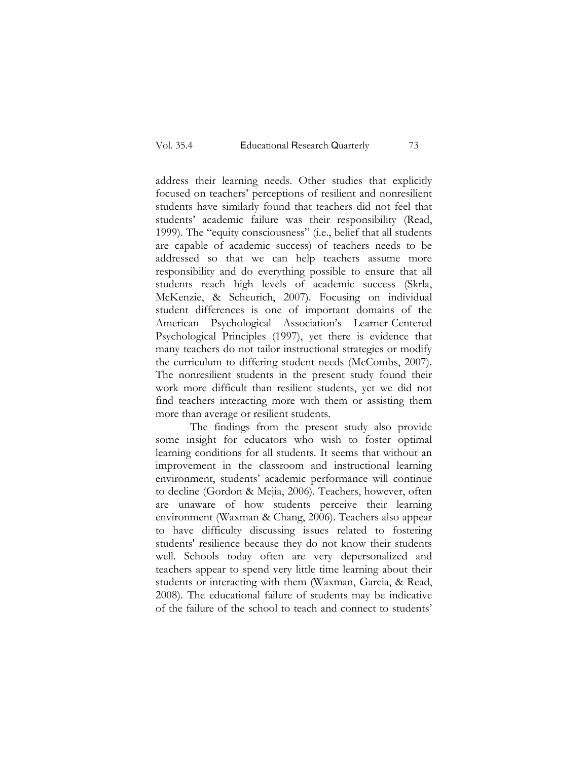address their learning needs. Other studies that explicitly focused on teachers' perceptions of resilient and nonresilient students have similarly found that teachers did not feel that students' academic failure was their responsibility (Read, 1999). The "equity consciousness" (i.e., belief that all students are capable of academic success) of teachers needs to be addressed so that we can help teachers assume more responsibility and do everything possible to ensure that all students reach high levels of academic success (Skrla, McKenzie, & Scheurich, 2007). Focusing on individual student differences is one of important domains of the American Psychological Association's Learner-Centered Psychological Principles (1997), yet there is evidence that many teachers do not tailor instructional strategies or modify the curriculum to differing student needs (McCombs, 2007). The nonresilient students in the present study found their work more difficult than resilient students, yet we did not find teachers interacting more with them or assisting them more than average or resilient students.

The findings from the present study also provide some insight for educators who wish to foster optimal learning conditions for all students. It seems that without an improvement in the classroom and instructional learning environment, students' academic performance will continue to decline (Gordon & Mejia, 2006). Teachers, however, often are unaware of how students perceive their learning environment (Waxman & Chang, 2006). Teachers also appear to have difficulty discussing issues related to fostering students' resilience because they do not know their students well. Schools today often are very depersonalized and teachers appear to spend very little time learning about their students or interacting with them (Waxman, Garcia, & Read, 2008). The educational failure of students may be indicative of the failure of the school to teach and connect to students'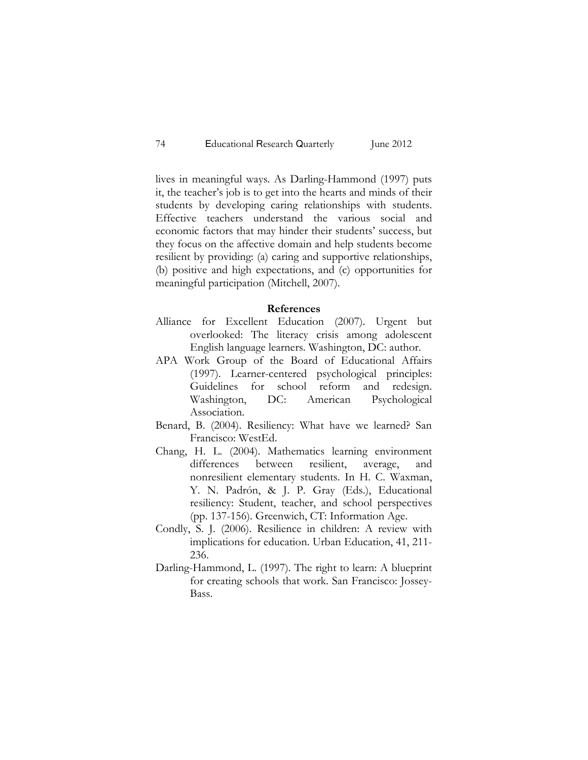lives in meaningful ways. As Darling-Hammond (1997) puts it, the teacher's job is to get into the hearts and minds of their students by developing caring relationships with students. Effective teachers understand the various social and economic factors that may hinder their students' success, but they focus on the affective domain and help students become resilient by providing: (a) caring and supportive relationships, (b) positive and high expectations, and (c) opportunities for meaningful participation (Mitchell, 2007).

### **References**

- Alliance for Excellent Education (2007). Urgent but overlooked: The literacy crisis among adolescent English language learners. Washington, DC: author.
- APA Work Group of the Board of Educational Affairs (1997). Learner-centered psychological principles: Guidelines for school reform and redesign. Washington, DC: American Psychological Association.
- Benard, B. (2004). Resiliency: What have we learned? San Francisco: WestEd.
- Chang, H. L. (2004). Mathematics learning environment differences between resilient, average, and nonresilient elementary students. In H. C. Waxman, Y. N. Padrón, & J. P. Gray (Eds.), Educational resiliency: Student, teacher, and school perspectives (pp. 137-156). Greenwich, CT: Information Age.
- Condly, S. J. (2006). Resilience in children: A review with implications for education. Urban Education, 41, 211- 236.
- Darling-Hammond, L. (1997). The right to learn: A blueprint for creating schools that work. San Francisco: Jossey-Bass.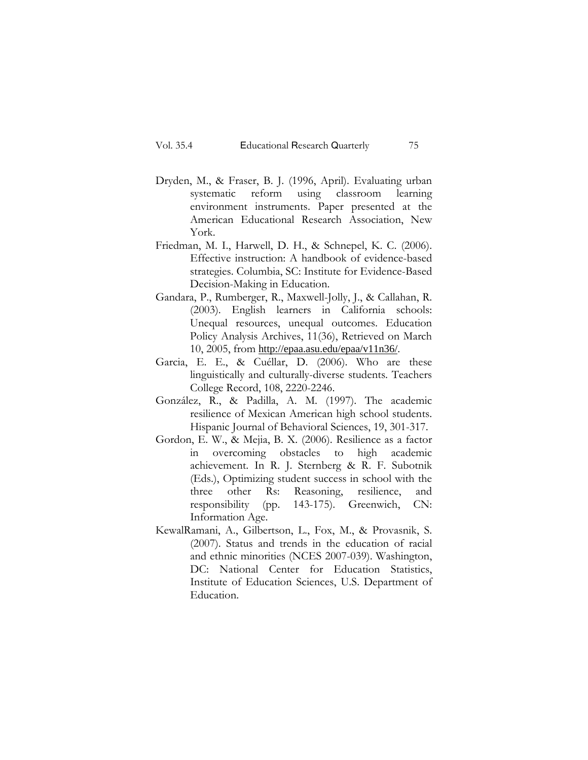- Dryden, M., & Fraser, B. J. (1996, April). Evaluating urban systematic reform using classroom learning environment instruments. Paper presented at the American Educational Research Association, New York.
- Friedman, M. I., Harwell, D. H., & Schnepel, K. C. (2006). Effective instruction: A handbook of evidence-based strategies. Columbia, SC: Institute for Evidence-Based Decision-Making in Education.
- Gandara, P., Rumberger, R., Maxwell-Jolly, J., & Callahan, R. (2003). English learners in California schools: Unequal resources, unequal outcomes. Education Policy Analysis Archives, 11(36), Retrieved on March 10, 2005, from <http://epaa.asu.edu/epaa/v11n36/>.
- Garcia, E. E., & Cuéllar, D. (2006). Who are these linguistically and culturally-diverse students. Teachers College Record, 108, 2220-2246.
- González, R., & Padilla, A. M. (1997). The academic resilience of Mexican American high school students. Hispanic Journal of Behavioral Sciences, 19, 301-317.
- Gordon, E. W., & Mejia, B. X. (2006). Resilience as a factor in overcoming obstacles to high academic achievement. In R. J. Sternberg & R. F. Subotnik (Eds.), Optimizing student success in school with the three other Rs: Reasoning, resilience, and responsibility (pp. 143-175). Greenwich, CN: Information Age.
- KewalRamani, A., Gilbertson, L., Fox, M., & Provasnik, S. (2007). Status and trends in the education of racial and ethnic minorities (NCES 2007-039). Washington, DC: National Center for Education Statistics, Institute of Education Sciences, U.S. Department of Education.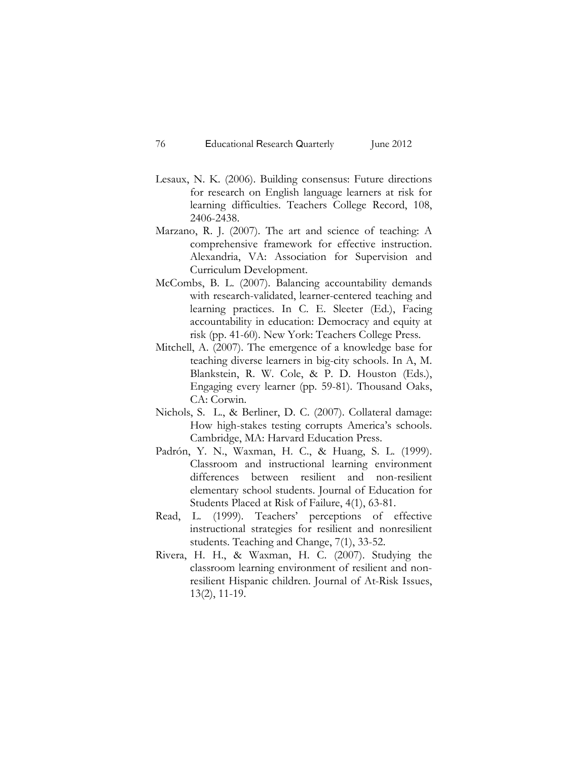- Lesaux, N. K. (2006). Building consensus: Future directions for research on English language learners at risk for learning difficulties. Teachers College Record, 108, 2406-2438.
- Marzano, R. J. (2007). The art and science of teaching: A comprehensive framework for effective instruction. Alexandria, VA: Association for Supervision and Curriculum Development.
- McCombs, B. L. (2007). Balancing accountability demands with research-validated, learner-centered teaching and learning practices. In C. E. Sleeter (Ed.), Facing accountability in education: Democracy and equity at risk (pp. 41-60). New York: Teachers College Press.
- Mitchell, A. (2007). The emergence of a knowledge base for teaching diverse learners in big-city schools. In A, M. Blankstein, R. W. Cole, & P. D. Houston (Eds.), Engaging every learner (pp. 59-81). Thousand Oaks, CA: Corwin.
- Nichols, S. L., & Berliner, D. C. (2007). Collateral damage: How high-stakes testing corrupts America's schools. Cambridge, MA: Harvard Education Press.
- Padrón, Y. N., Waxman, H. C., & Huang, S. L. (1999). Classroom and instructional learning environment differences between resilient and non-resilient elementary school students. Journal of Education for Students Placed at Risk of Failure, 4(1), 63-81.
- Read, L. (1999). Teachers' perceptions of effective instructional strategies for resilient and nonresilient students. Teaching and Change, 7(1), 33-52.
- Rivera, H. H., & Waxman, H. C. (2007). Studying the classroom learning environment of resilient and nonresilient Hispanic children. Journal of At-Risk Issues, 13(2), 11-19.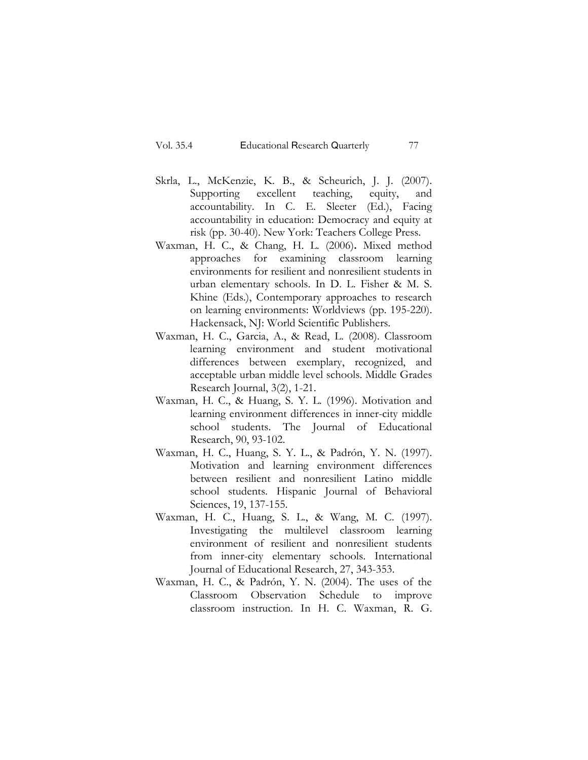- Skrla, L., McKenzie, K. B., & Scheurich, J. J. (2007). Supporting excellent teaching, equity, and accountability. In C. E. Sleeter (Ed.), Facing accountability in education: Democracy and equity at risk (pp. 30-40). New York: Teachers College Press.
- Waxman, H. C., & Chang, H. L. (2006)**.** Mixed method approaches for examining classroom learning environments for resilient and nonresilient students in urban elementary schools. In D. L. Fisher & M. S. Khine (Eds.), Contemporary approaches to research on learning environments: Worldviews (pp. 195-220). Hackensack, NJ: World Scientific Publishers.
- Waxman, H. C., Garcia, A., & Read, L. (2008). Classroom learning environment and student motivational differences between exemplary, recognized, and acceptable urban middle level schools. Middle Grades Research Journal, 3(2), 1-21.
- Waxman, H. C., & Huang, S. Y. L. (1996). Motivation and learning environment differences in inner-city middle school students. The Journal of Educational Research, 90, 93-102.
- Waxman, H. C., Huang, S. Y. L., & Padrón, Y. N. (1997). Motivation and learning environment differences between resilient and nonresilient Latino middle school students. Hispanic Journal of Behavioral Sciences, 19, 137-155.
- Waxman, H. C., Huang, S. L., & Wang, M. C. (1997). Investigating the multilevel classroom learning environment of resilient and nonresilient students from inner-city elementary schools. International Journal of Educational Research, 27, 343-353.
- Waxman, H. C., & Padrón, Y. N. (2004). The uses of the Classroom Observation Schedule to improve classroom instruction. In H. C. Waxman, R. G.